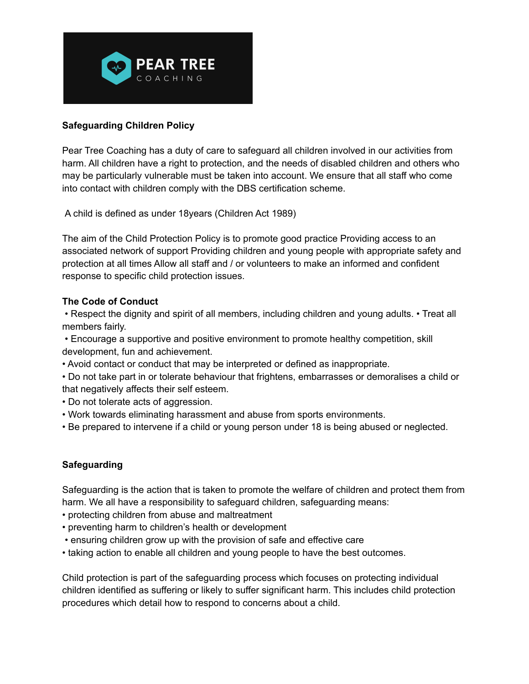

## **Safeguarding Children Policy**

Pear Tree Coaching has a duty of care to safeguard all children involved in our activities from harm. All children have a right to protection, and the needs of disabled children and others who may be particularly vulnerable must be taken into account. We ensure that all staff who come into contact with children comply with the DBS certification scheme.

A child is defined as under 18years (Children Act 1989)

The aim of the Child Protection Policy is to promote good practice Providing access to an associated network of support Providing children and young people with appropriate safety and protection at all times Allow all staff and / or volunteers to make an informed and confident response to specific child protection issues.

### **The Code of Conduct**

• Respect the dignity and spirit of all members, including children and young adults. • Treat all members fairly.

• Encourage a supportive and positive environment to promote healthy competition, skill development, fun and achievement.

• Avoid contact or conduct that may be interpreted or defined as inappropriate.

• Do not take part in or tolerate behaviour that frightens, embarrasses or demoralises a child or that negatively affects their self esteem.

- Do not tolerate acts of aggression.
- Work towards eliminating harassment and abuse from sports environments.
- Be prepared to intervene if a child or young person under 18 is being abused or neglected.

# **Safeguarding**

Safeguarding is the action that is taken to promote the welfare of children and protect them from harm. We all have a responsibility to safeguard children, safeguarding means:

- protecting children from abuse and maltreatment
- preventing harm to children's health or development
- ensuring children grow up with the provision of safe and effective care
- taking action to enable all children and young people to have the best outcomes.

Child protection is part of the safeguarding process which focuses on protecting individual children identified as suffering or likely to suffer significant harm. This includes child protection procedures which detail how to respond to concerns about a child.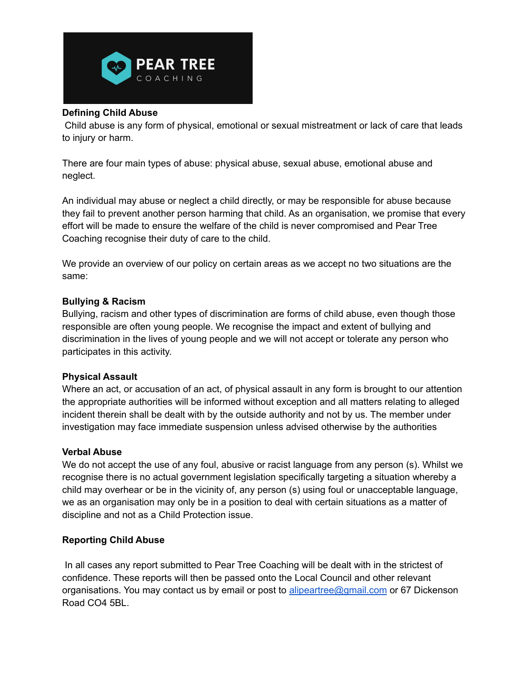

### **Defining Child Abuse**

Child abuse is any form of physical, emotional or sexual mistreatment or lack of care that leads to injury or harm.

There are four main types of abuse: physical abuse, sexual abuse, emotional abuse and neglect.

An individual may abuse or neglect a child directly, or may be responsible for abuse because they fail to prevent another person harming that child. As an organisation, we promise that every effort will be made to ensure the welfare of the child is never compromised and Pear Tree Coaching recognise their duty of care to the child.

We provide an overview of our policy on certain areas as we accept no two situations are the same:

### **Bullying & Racism**

Bullying, racism and other types of discrimination are forms of child abuse, even though those responsible are often young people. We recognise the impact and extent of bullying and discrimination in the lives of young people and we will not accept or tolerate any person who participates in this activity.

### **Physical Assault**

Where an act, or accusation of an act, of physical assault in any form is brought to our attention the appropriate authorities will be informed without exception and all matters relating to alleged incident therein shall be dealt with by the outside authority and not by us. The member under investigation may face immediate suspension unless advised otherwise by the authorities

### **Verbal Abuse**

We do not accept the use of any foul, abusive or racist language from any person (s). Whilst we recognise there is no actual government legislation specifically targeting a situation whereby a child may overhear or be in the vicinity of, any person (s) using foul or unacceptable language, we as an organisation may only be in a position to deal with certain situations as a matter of discipline and not as a Child Protection issue.

# **Reporting Child Abuse**

In all cases any report submitted to Pear Tree Coaching will be dealt with in the strictest of confidence. These reports will then be passed onto the Local Council and other relevant organisations. You may contact us by email or post to [alipeartree@gmail.com](mailto:alipeartree@gmail.com) or 67 Dickenson Road CO4 5BL.